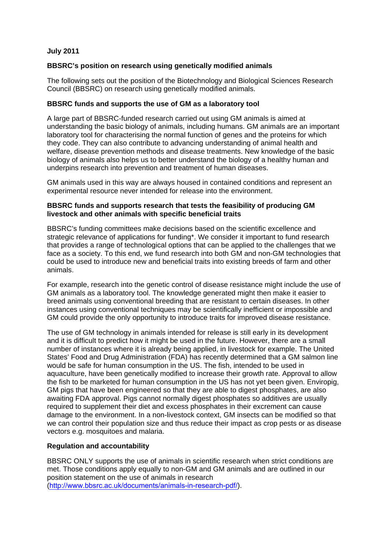### **July 2011**

# **BBSRC's position on research using genetically modified animals**

The following sets out the position of the Biotechnology and Biological Sciences Research Council (BBSRC) on research using genetically modified animals.

# **BBSRC funds and supports the use of GM as a laboratory tool**

A large part of BBSRC-funded research carried out using GM animals is aimed at understanding the basic biology of animals, including humans. GM animals are an important laboratory tool for characterising the normal function of genes and the proteins for which they code. They can also contribute to advancing understanding of animal health and welfare, disease prevention methods and disease treatments. New knowledge of the basic biology of animals also helps us to better understand the biology of a healthy human and underpins research into prevention and treatment of human diseases.

GM animals used in this way are always housed in contained conditions and represent an experimental resource never intended for release into the environment.

### **BBSRC funds and supports research that tests the feasibility of producing GM livestock and other animals with specific beneficial traits**

BBSRC's funding committees make decisions based on the scientific excellence and strategic relevance of applications for funding\*. We consider it important to fund research that provides a range of technological options that can be applied to the challenges that we face as a society. To this end, we fund research into both GM and non-GM technologies that could be used to introduce new and beneficial traits into existing breeds of farm and other animals.

For example, research into the genetic control of disease resistance might include the use of GM animals as a laboratory tool. The knowledge generated might then make it easier to breed animals using conventional breeding that are resistant to certain diseases. In other instances using conventional techniques may be scientifically inefficient or impossible and GM could provide the only opportunity to introduce traits for improved disease resistance.

The use of GM technology in animals intended for release is still early in its development and it is difficult to predict how it might be used in the future. However, there are a small number of instances where it is already being applied, in livestock for example. The United States' Food and Drug Administration (FDA) has recently determined that a GM salmon line would be safe for human consumption in the US. The fish, intended to be used in aquaculture, have been genetically modified to increase their growth rate. Approval to allow the fish to be marketed for human consumption in the US has not yet been given. Enviropig, GM pigs that have been engineered so that they are able to digest phosphates, are also awaiting FDA approval. Pigs cannot normally digest phosphates so additives are usually required to supplement their diet and excess phosphates in their excrement can cause damage to the environment. In a non-livestock context, GM insects can be modified so that we can control their population size and thus reduce their impact as crop pests or as disease vectors e.g. mosquitoes and malaria.

# **Regulation and accountability**

BBSRC ONLY supports the use of animals in scientific research when strict conditions are met. Those conditions apply equally to non-GM and GM animals and are outlined in our position statement on the use of animals in research (http://www.bbsrc.ac.uk/documents/animals-in-research-pdf/).